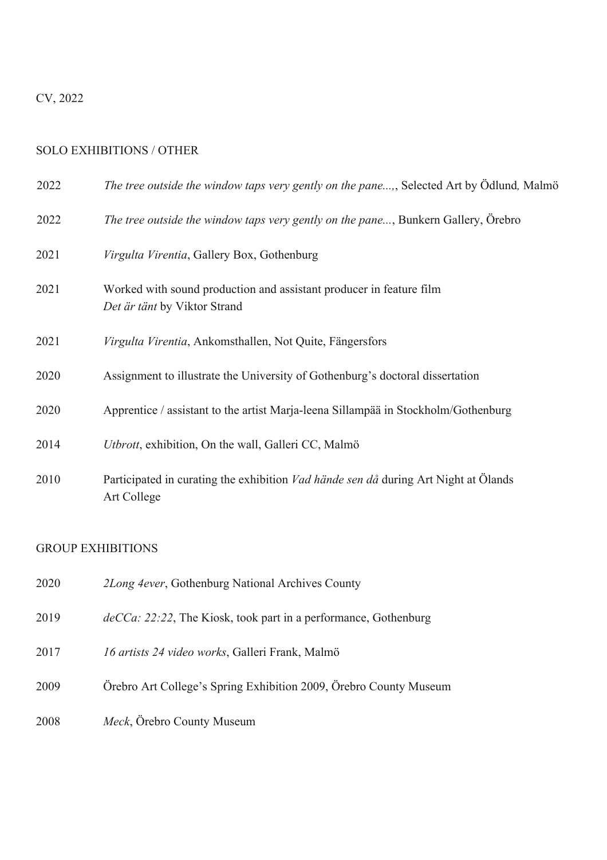## CV, 2022

## SOLO EXHIBITIONS / OTHER

| 2022 | The tree outside the window taps very gently on the pane, Selected Art by Ödlund, Malmö                   |
|------|-----------------------------------------------------------------------------------------------------------|
| 2022 | The tree outside the window taps very gently on the pane, Bunkern Gallery, Örebro                         |
| 2021 | Virgulta Virentia, Gallery Box, Gothenburg                                                                |
| 2021 | Worked with sound production and assistant producer in feature film<br>Det är tänt by Viktor Strand       |
| 2021 | Virgulta Virentia, Ankomsthallen, Not Quite, Fängersfors                                                  |
| 2020 | Assignment to illustrate the University of Gothenburg's doctoral dissertation                             |
| 2020 | Apprentice / assistant to the artist Marja-leena Sillampää in Stockholm/Gothenburg                        |
| 2014 | Utbrott, exhibition, On the wall, Galleri CC, Malmö                                                       |
| 2010 | Participated in curating the exhibition <i>Vad hände sen då</i> during Art Night at Ölands<br>Art College |

## GROUP EXHIBITIONS

| 2020 | 2Long 4ever, Gothenburg National Archives County                   |
|------|--------------------------------------------------------------------|
| 2019 | $deCCa: 22:22$ , The Kiosk, took part in a performance, Gothenburg |
| 2017 | 16 artists 24 video works, Galleri Frank, Malmö                    |
| 2009 | Örebro Art College's Spring Exhibition 2009, Örebro County Museum  |
| 2008 | Meck, Örebro County Museum                                         |